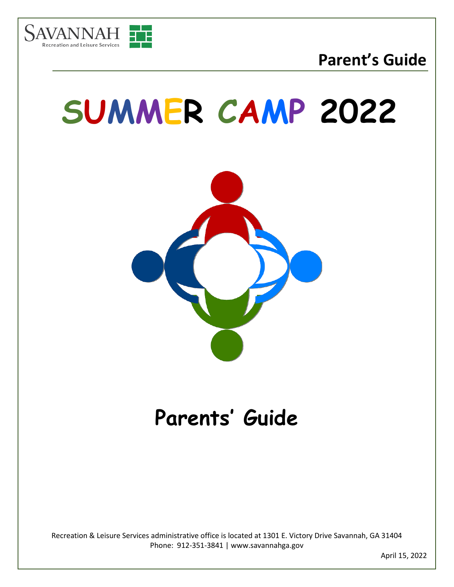

## **SUMMER CAMP 2022**



### **Parents' Guide**

Recreation & Leisure Services administrative office is located at 1301 E. Victory Drive Savannah, GA 31404 Phone: 912-351-3841 | www.savannahga.gov

April 15, 2022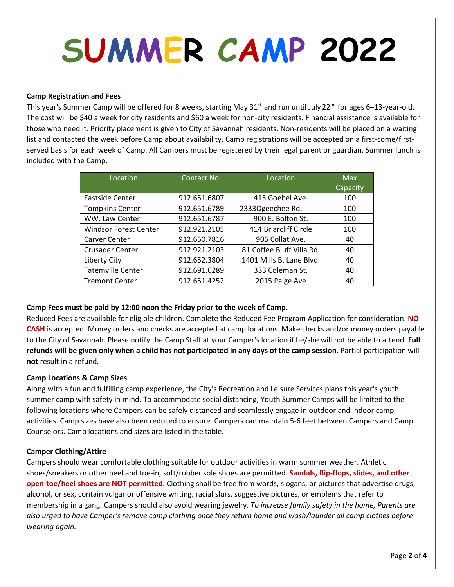# **SUMMER CAMP 2022**

#### **Camp Registration and Fees**

This year's Summer Camp will be offered for 8 weeks, starting May  $31^{st}$ , and run until July 22<sup>nd</sup> for ages 6–13-year-old. The cost will be \$40 a week for city residents and \$60 a week for non-city residents. Financial assistance is available for those who need it. Priority placement is given to City of Savannah residents. Non-residents will be placed on a waiting list and contacted the week before Camp about availability. Camp registrations will be accepted on a first-come/firstserved basis for each week of Camp. All Campers must be registered by their legal parent or guardian. Summer lunch is included with the Camp.

| Location                     | Contact No.  | Location                  | <b>Max</b> |
|------------------------------|--------------|---------------------------|------------|
|                              |              |                           | Capacity   |
| Eastside Center              | 912.651.6807 | 415 Goebel Ave.           | 100        |
| <b>Tompkins Center</b>       | 912.651.6789 | 2333Ogeechee Rd.          | 100        |
| WW. Law Center               | 912.651.6787 | 900 E. Bolton St.         | 100        |
| <b>Windsor Forest Center</b> | 912.921.2105 | 414 Briarcliff Circle     | 100        |
| Carver Center                | 912.650.7816 | 905 Collat Ave.           | 40         |
| <b>Crusader Center</b>       | 912.921.2103 | 81 Coffee Bluff Villa Rd. | 40         |
| Liberty City                 | 912.652.3804 | 1401 Mills B. Lane Blvd.  | 40         |
| <b>Tatemville Center</b>     | 912.691.6289 | 333 Coleman St.           | 40         |
| <b>Tremont Center</b>        | 912.651.4252 | 2015 Paige Ave            | 40         |

#### **Camp Fees must be paid by 12:00 noon the Friday prior to the week of Camp.**

Reduced Fees are available for eligible children. Complete the Reduced Fee Program Application for consideration. **NO CASH** is accepted. Money orders and checks are accepted at camp locations. Make checks and/or money orders payable to the City of Savannah. Please notify the Camp Staff at your Camper's location if he/she will not be able to attend. **Full refunds will be given only when a child has not participated in any days of the camp session**. Partial participation will **not** result in a refund.

#### **Camp Locations & Camp Sizes**

Along with a fun and fulfilling camp experience, the City's Recreation and Leisure Services plans this year's youth summer camp with safety in mind. To accommodate social distancing, Youth Summer Camps will be limited to the following locations where Campers can be safely distanced and seamlessly engage in outdoor and indoor camp activities. Camp sizes have also been reduced to ensure. Campers can maintain 5-6 feet between Campers and Camp Counselors. Camp locations and sizes are listed in the table.

#### **Camper Clothing/Attire**

Campers should wear comfortable clothing suitable for outdoor activities in warm summer weather. Athletic shoes/sneakers or other heel and toe-in, soft/rubber sole shoes are permitted. **Sandals, flip-flops, slides, and other open-toe/heel shoes are NOT permitted**. Clothing shall be free from words, slogans, or pictures that advertise drugs, alcohol, or sex, contain vulgar or offensive writing, racial slurs, suggestive pictures, or emblems that refer to membership in a gang. Campers should also avoid wearing jewelry. *To increase family safety in the home, Parents are also urged to have Camper's remove camp clothing once they return home and wash/launder all camp clothes before wearing again.*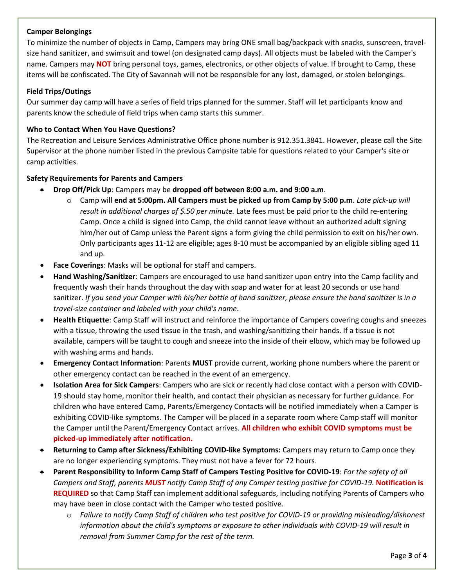#### **Camper Belongings**

To minimize the number of objects in Camp, Campers may bring ONE small bag/backpack with snacks, sunscreen, travelsize hand sanitizer, and swimsuit and towel (on designated camp days). All objects must be labeled with the Camper's name. Campers may **NOT** bring personal toys, games, electronics, or other objects of value. If brought to Camp, these items will be confiscated. The City of Savannah will not be responsible for any lost, damaged, or stolen belongings.

#### **Field Trips/Outings**

Our summer day camp will have a series of field trips planned for the summer. Staff will let participants know and parents know the schedule of field trips when camp starts this summer.

#### **Who to Contact When You Have Questions?**

The Recreation and Leisure Services Administrative Office phone number is 912.351.3841. However, please call the Site Supervisor at the phone number listed in the previous Campsite table for questions related to your Camper's site or camp activities.

#### **Safety Requirements for Parents and Campers**

- **Drop Off/Pick Up**: Campers may be **dropped off between 8:00 a.m. and 9:00 a.m**.
	- o Camp will **end at 5:00pm. All Campers must be picked up from Camp by 5:00 p.m**. *Late pick-up will result in additional charges of \$.50 per minute.* Late fees must be paid prior to the child re-entering Camp. Once a child is signed into Camp, the child cannot leave without an authorized adult signing him/her out of Camp unless the Parent signs a form giving the child permission to exit on his/her own. Only participants ages 11-12 are eligible; ages 8-10 must be accompanied by an eligible sibling aged 11 and up.
- **Face Coverings**: Masks will be optional for staff and campers.
- **Hand Washing/Sanitizer**: Campers are encouraged to use hand sanitizer upon entry into the Camp facility and frequently wash their hands throughout the day with soap and water for at least 20 seconds or use hand sanitizer. *If you send your Camper with his/her bottle of hand sanitizer, please ensure the hand sanitizer is in a travel-size container and labeled with your child's name*.
- **Health Etiquette**: Camp Staff will instruct and reinforce the importance of Campers covering coughs and sneezes with a tissue, throwing the used tissue in the trash, and washing/sanitizing their hands. If a tissue is not available, campers will be taught to cough and sneeze into the inside of their elbow, which may be followed up with washing arms and hands.
- **Emergency Contact Information**: Parents **MUST** provide current, working phone numbers where the parent or other emergency contact can be reached in the event of an emergency.
- **Isolation Area for Sick Campers**: Campers who are sick or recently had close contact with a person with COVID-19 should stay home, monitor their health, and contact their physician as necessary for further guidance. For children who have entered Camp, Parents/Emergency Contacts will be notified immediately when a Camper is exhibiting COVID-like symptoms. The Camper will be placed in a separate room where Camp staff will monitor the Camper until the Parent/Emergency Contact arrives. **All children who exhibit COVID symptoms must be picked-up immediately after notification.**
- **Returning to Camp after Sickness/Exhibiting COVID-like Symptoms:** Campers may return to Camp once they are no longer experiencing symptoms. They must not have a fever for 72 hours.
- **Parent Responsibility to Inform Camp Staff of Campers Testing Positive for COVID-19**: *For the safety of all Campers and Staff, parents MUST notify Camp Staff of any Camper testing positive for COVID-19.* **Notification is REQUIRED** so that Camp Staff can implement additional safeguards, including notifying Parents of Campers who may have been in close contact with the Camper who tested positive.
	- o *Failure to notify Camp Staff of children who test positive for COVID-19 or providing misleading/dishonest information about the child's symptoms or exposure to other individuals with COVID-19 will result in removal from Summer Camp for the rest of the term.*